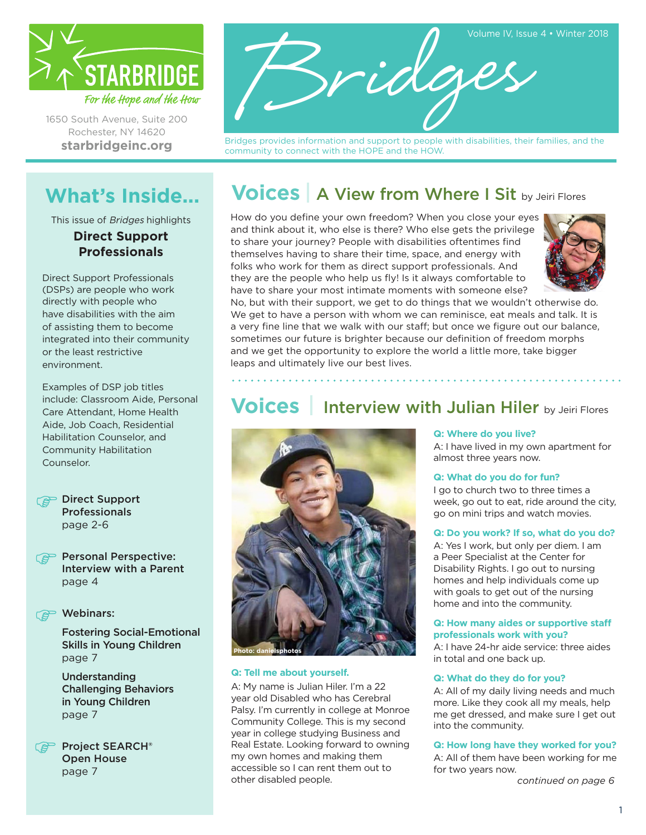

1650 South Avenue, Suite 200 Rochester, NY 14620 **[starbridgeinc.org](http://www.starbridgeinc.org/)**



Bridges provides information and support to people with disabilities, their families, and the community to connect with the HOPE and the HOW.

# **What's Inside...**

This issue of Bridges highlights **Direct Support Professionals**

Direct Support Professionals (DSPs) are people who work directly with people who have disabilities with the aim of assisting them to become integrated into their community or the least restrictive environment.

Examples of DSP job titles include: Classroom Aide, Personal Care Attendant, Home Health Aide, Job Coach, Residential Habilitation Counselor, and Community Habilitation Counselor.



**Personal Perspective:** Interview with a Parent page 4

### **P** Webinars:

Fostering Social-Emotional Skills in Young Children page 7

Understanding Challenging Behaviors in Young Children page 7

Project SEARCH® Open House page 7

# **Voices** | A View from Where I Sit by Jeiri Flores

How do you define your own freedom? When you close your eyes and think about it, who else is there? Who else gets the privilege to share your journey? People with disabilities oftentimes find themselves having to share their time, space, and energy with folks who work for them as direct support professionals. And they are the people who help us fly! Is it always comfortable to have to share your most intimate moments with someone else?



No, but with their support, we get to do things that we wouldn't otherwise do. We get to have a person with whom we can reminisce, eat meals and talk. It is a very fine line that we walk with our staff; but once we figure out our balance, sometimes our future is brighter because our definition of freedom morphs and we get the opportunity to explore the world a little more, take bigger leaps and ultimately live our best lives.

## **Voices** Interview with Julian Hiler by Jeiri Flores



### **Q: Tell me about yourself.**

A: My name is Julian Hiler. I'm a 22 year old Disabled who has Cerebral Palsy. I'm currently in college at Monroe Community College. This is my second year in college studying Business and Real Estate. Looking forward to owning my own homes and making them accessible so I can rent them out to other disabled people.

### **Q: Where do you live?**

A: I have lived in my own apartment for almost three years now.

#### **Q: What do you do for fun?**

I go to church two to three times a week, go out to eat, ride around the city, go on mini trips and watch movies.

#### **Q: Do you work? If so, what do you do?**

A: Yes I work, but only per diem. I am a Peer Specialist at the Center for Disability Rights. I go out to nursing homes and help individuals come up with goals to get out of the nursing home and into the community.

#### **Q: How many aides or supportive staff professionals work with you?**

A: I have 24-hr aide service: three aides in total and one back up.

### **Q: What do they do for you?**

A: All of my daily living needs and much more. Like they cook all my meals, help me get dressed, and make sure I get out into the community.

### **Q: How long have they worked for you?**

A: All of them have been working for me for two years now.

*continued on page 6*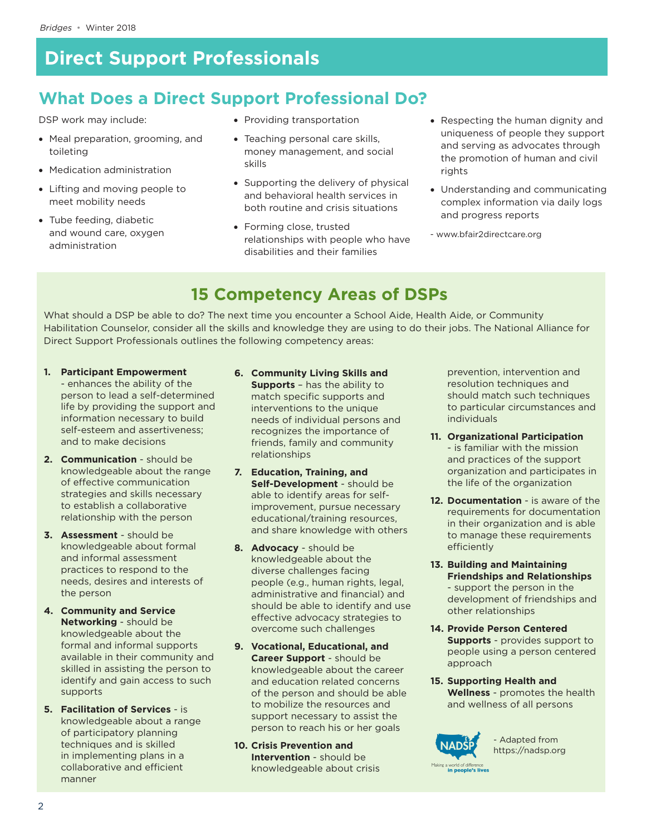## **What Does a Direct Support Professional Do?**

DSP work may include:

- • Meal preparation, grooming, and toileting
- • Medication administration
- Lifting and moving people to meet mobility needs
- • Tube feeding, diabetic and wound care, oxygen administration
- Providing transportation
- Teaching personal care skills, money management, and social skills
- Supporting the delivery of physical and behavioral health services in both routine and crisis situations
- Forming close, trusted relationships with people who have disabilities and their families
- • Respecting the human dignity and uniqueness of people they support and serving as advocates through the promotion of human and civil rights
- Understanding and communicating complex information via daily logs and progress reports
- [www.bfair2directcare.org](file:///C:/Users/Sarah/Google%20Drive/www.bfair2directcare.org)

## **15 Competency Areas of DSPs**

What should a DSP be able to do? The next time you encounter a School Aide, Health Aide, or Community Habilitation Counselor, consider all the skills and knowledge they are using to do their jobs. The National Alliance for Direct Support Professionals outlines the following competency areas:

- **1. Participant Empowerment** - enhances the ability of the person to lead a self-determined life by providing the support and information necessary to build self-esteem and assertiveness; and to make decisions
- **2. Communication** should be knowledgeable about the range of effective communication strategies and skills necessary to establish a collaborative relationship with the person
- **3. Assessment** should be knowledgeable about formal and informal assessment practices to respond to the needs, desires and interests of the person
- **4. Community and Service Networking** - should be knowledgeable about the formal and informal supports available in their community and skilled in assisting the person to identify and gain access to such supports
- **5. Facilitation of Services** is knowledgeable about a range of participatory planning techniques and is skilled in implementing plans in a collaborative and efficient manner
- **6. Community Living Skills and Supports** – has the ability to match specific supports and interventions to the unique needs of individual persons and recognizes the importance of friends, family and community relationships
- **7. Education, Training, and Self-Development** - should be able to identify areas for selfimprovement, pursue necessary educational/training resources, and share knowledge with others
- **8. Advocacy** should be knowledgeable about the diverse challenges facing people (e.g., human rights, legal, administrative and financial) and should be able to identify and use effective advocacy strategies to overcome such challenges
- **9. Vocational, Educational, and Career Support** - should be knowledgeable about the career and education related concerns of the person and should be able to mobilize the resources and support necessary to assist the person to reach his or her goals
- **10. Crisis Prevention and Intervention** - should be knowledgeable about crisis

prevention, intervention and resolution techniques and should match such techniques to particular circumstances and individuals

- **11. Organizational Participation** - is familiar with the mission and practices of the support organization and participates in the life of the organization
- **12. Documentation**  is aware of the requirements for documentation in their organization and is able to manage these requirements efficiently
- **13. Building and Maintaining Friendships and Relationships** - support the person in the development of friendships and other relationships
- **14. Provide Person Centered Supports** - provides support to people using a person centered approach
- **15. Supporting Health and Wellness** - promotes the health and wellness of all persons



- Adapted from <https://nadsp.org>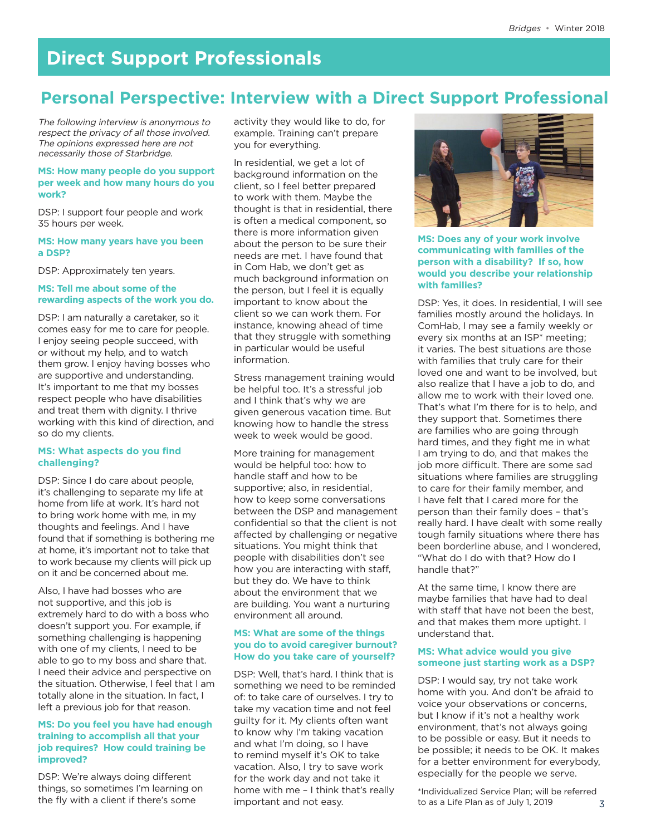### **Personal Perspective: Interview with a Direct Support Professional**

The following interview is anonymous to respect the privacy of all those involved. The opinions expressed here are not necessarily those of Starbridge.

### **MS: How many people do you support per week and how many hours do you work?**

DSP: I support four people and work 35 hours per week.

#### **MS: How many years have you been a DSP?**

DSP: Approximately ten years.

### **MS: Tell me about some of the rewarding aspects of the work you do.**

DSP: I am naturally a caretaker, so it comes easy for me to care for people. I enjoy seeing people succeed, with or without my help, and to watch them grow. I enjoy having bosses who are supportive and understanding. It's important to me that my bosses respect people who have disabilities and treat them with dignity. I thrive working with this kind of direction, and so do my clients.

### **MS: What aspects do you find challenging?**

DSP: Since I do care about people, it's challenging to separate my life at home from life at work. It's hard not to bring work home with me, in my thoughts and feelings. And I have found that if something is bothering me at home, it's important not to take that to work because my clients will pick up on it and be concerned about me.

Also, I have had bosses who are not supportive, and this job is extremely hard to do with a boss who doesn't support you. For example, if something challenging is happening with one of my clients, I need to be able to go to my boss and share that. I need their advice and perspective on the situation. Otherwise, I feel that I am totally alone in the situation. In fact, I left a previous job for that reason.

### **MS: Do you feel you have had enough training to accomplish all that your job requires? How could training be improved?**

DSP: We're always doing different things, so sometimes I'm learning on the fly with a client if there's some

activity they would like to do, for example. Training can't prepare you for everything.

In residential, we get a lot of background information on the client, so I feel better prepared to work with them. Maybe the thought is that in residential, there is often a medical component, so there is more information given about the person to be sure their needs are met. I have found that in Com Hab, we don't get as much background information on the person, but I feel it is equally important to know about the client so we can work them. For instance, knowing ahead of time that they struggle with something in particular would be useful information.

Stress management training would be helpful too. It's a stressful job and I think that's why we are given generous vacation time. But knowing how to handle the stress week to week would be good.

More training for management would be helpful too: how to handle staff and how to be supportive; also, in residential, how to keep some conversations between the DSP and management confidential so that the client is not affected by challenging or negative situations. You might think that people with disabilities don't see how you are interacting with staff, but they do. We have to think about the environment that we are building. You want a nurturing environment all around.

### **MS: What are some of the things you do to avoid caregiver burnout? How do you take care of yourself?**

DSP: Well, that's hard. I think that is something we need to be reminded of: to take care of ourselves. I try to take my vacation time and not feel guilty for it. My clients often want to know why I'm taking vacation and what I'm doing, so I have to remind myself it's OK to take vacation. Also, I try to save work for the work day and not take it home with me – I think that's really important and not easy.



**MS: Does any of your work involve communicating with families of the person with a disability? If so, how would you describe your relationship with families?**

DSP: Yes, it does. In residential, I will see families mostly around the holidays. In ComHab, I may see a family weekly or every six months at an ISP\* meeting; it varies. The best situations are those with families that truly care for their loved one and want to be involved, but also realize that I have a job to do, and allow me to work with their loved one. That's what I'm there for is to help, and they support that. Sometimes there are families who are going through hard times, and they fight me in what I am trying to do, and that makes the job more difficult. There are some sad situations where families are struggling to care for their family member, and I have felt that I cared more for the person than their family does – that's really hard. I have dealt with some really tough family situations where there has been borderline abuse, and I wondered, "What do I do with that? How do I handle that?"

At the same time, I know there are maybe families that have had to deal with staff that have not been the best, and that makes them more uptight. I understand that.

### **MS: What advice would you give someone just starting work as a DSP?**

DSP: I would say, try not take work home with you. And don't be afraid to voice your observations or concerns, but I know if it's not a healthy work environment, that's not always going to be possible or easy. But it needs to be possible; it needs to be OK. It makes for a better environment for everybody, especially for the people we serve.

\*Individualized Service Plan; will be referred to as a Life Plan as of July 1, 2019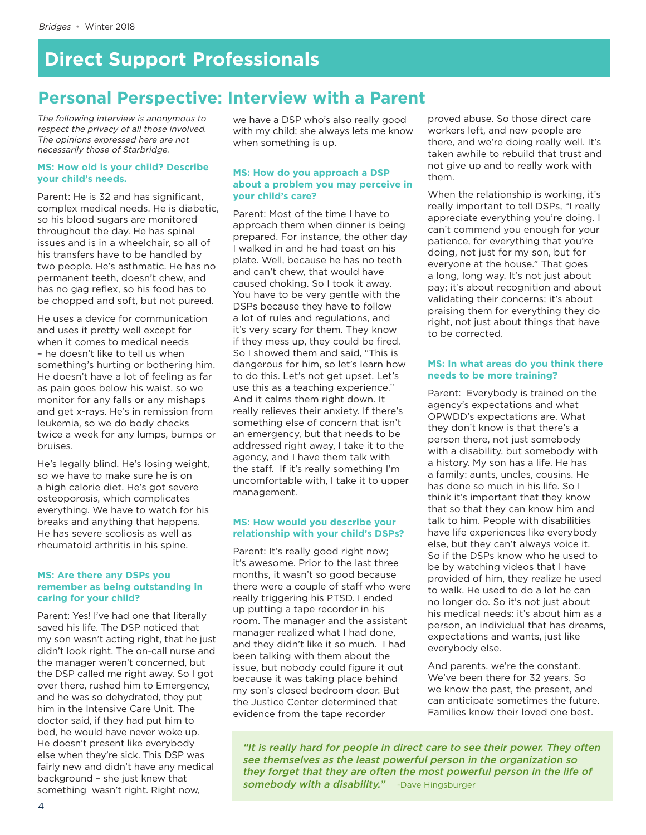## **Personal Perspective: Interview with a Parent**

The following interview is anonymous to respect the privacy of all those involved. The opinions expressed here are not necessarily those of Starbridge.

### **MS: How old is your child? Describe your child's needs.**

Parent: He is 32 and has significant, complex medical needs. He is diabetic, so his blood sugars are monitored throughout the day. He has spinal issues and is in a wheelchair, so all of his transfers have to be handled by two people. He's asthmatic. He has no permanent teeth, doesn't chew, and has no gag reflex, so his food has to be chopped and soft, but not pureed.

He uses a device for communication and uses it pretty well except for when it comes to medical needs – he doesn't like to tell us when something's hurting or bothering him. He doesn't have a lot of feeling as far as pain goes below his waist, so we monitor for any falls or any mishaps and get x-rays. He's in remission from leukemia, so we do body checks twice a week for any lumps, bumps or bruises.

He's legally blind. He's losing weight, so we have to make sure he is on a high calorie diet. He's got severe osteoporosis, which complicates everything. We have to watch for his breaks and anything that happens. He has severe scoliosis as well as rheumatoid arthritis in his spine.

#### **MS: Are there any DSPs you remember as being outstanding in caring for your child?**

Parent: Yes! I've had one that literally saved his life. The DSP noticed that my son wasn't acting right, that he just didn't look right. The on-call nurse and the manager weren't concerned, but the DSP called me right away. So I got over there, rushed him to Emergency, and he was so dehydrated, they put him in the Intensive Care Unit. The doctor said, if they had put him to bed, he would have never woke up. He doesn't present like everybody else when they're sick. This DSP was fairly new and didn't have any medical background – she just knew that something wasn't right. Right now,

we have a DSP who's also really good with my child; she always lets me know when something is up.

### **MS: How do you approach a DSP about a problem you may perceive in your child's care?**

Parent: Most of the time I have to approach them when dinner is being prepared. For instance, the other day I walked in and he had toast on his plate. Well, because he has no teeth and can't chew, that would have caused choking. So I took it away. You have to be very gentle with the DSPs because they have to follow a lot of rules and regulations, and it's very scary for them. They know if they mess up, they could be fired. So I showed them and said, "This is dangerous for him, so let's learn how to do this. Let's not get upset. Let's use this as a teaching experience." And it calms them right down. It really relieves their anxiety. If there's something else of concern that isn't an emergency, but that needs to be addressed right away, I take it to the agency, and I have them talk with the staff. If it's really something I'm uncomfortable with, I take it to upper management.

### **MS: How would you describe your relationship with your child's DSPs?**

Parent: It's really good right now; it's awesome. Prior to the last three months, it wasn't so good because there were a couple of staff who were really triggering his PTSD. I ended up putting a tape recorder in his room. The manager and the assistant manager realized what I had done, and they didn't like it so much. I had been talking with them about the issue, but nobody could figure it out because it was taking place behind my son's closed bedroom door. But the Justice Center determined that evidence from the tape recorder

proved abuse. So those direct care workers left, and new people are there, and we're doing really well. It's taken awhile to rebuild that trust and not give up and to really work with them.

When the relationship is working, it's really important to tell DSPs, "I really appreciate everything you're doing. I can't commend you enough for your patience, for everything that you're doing, not just for my son, but for everyone at the house." That goes a long, long way. It's not just about pay; it's about recognition and about validating their concerns; it's about praising them for everything they do right, not just about things that have to be corrected.

### **MS: In what areas do you think there needs to be more training?**

Parent: Everybody is trained on the agency's expectations and what OPWDD's expectations are. What they don't know is that there's a person there, not just somebody with a disability, but somebody with a history. My son has a life. He has a family: aunts, uncles, cousins. He has done so much in his life. So I think it's important that they know that so that they can know him and talk to him. People with disabilities have life experiences like everybody else, but they can't always voice it. So if the DSPs know who he used to be by watching videos that I have provided of him, they realize he used to walk. He used to do a lot he can no longer do. So it's not just about his medical needs: it's about him as a person, an individual that has dreams, expectations and wants, just like everybody else.

And parents, we're the constant. We've been there for 32 years. So we know the past, the present, and can anticipate sometimes the future. Families know their loved one best.

"It is really hard for people in direct care to see their power. They often see themselves as the least powerful person in the organization so they forget that they are often the most powerful person in the life of somebody with a disability." -Dave Hingsburger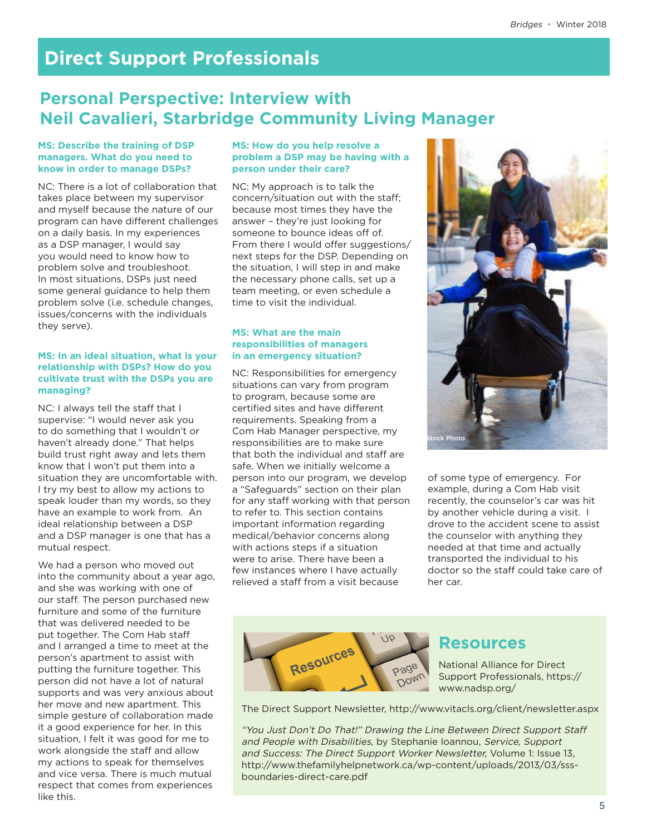### **Personal Perspective: Interview with Neil Cavalieri, Starbridge Community Living Manager**

### **MS: Describe the training of DSP managers. What do you need to know in order to manage DSPs?**

NC: There is a lot of collaboration that takes place between my supervisor and myself because the nature of our program can have different challenges on a daily basis. In my experiences as a DSP manager, I would say you would need to know how to problem solve and troubleshoot. In most situations, DSPs just need some general guidance to help them problem solve (i.e. schedule changes, issues/concerns with the individuals they serve).

### **MS: In an ideal situation, what is your relationship with DSPs? How do you cultivate trust with the DSPs you are managing?**

NC: I always tell the staff that I supervise: "I would never ask you to do something that I wouldn't or haven't already done." That helps build trust right away and lets them know that I won't put them into a situation they are uncomfortable with. I try my best to allow my actions to speak louder than my words, so they have an example to work from. An ideal relationship between a DSP and a DSP manager is one that has a mutual respect.

We had a person who moved out into the community about a year ago, and she was working with one of our staff. The person purchased new furniture and some of the furniture that was delivered needed to be put together. The Com Hab staff and I arranged a time to meet at the person's apartment to assist with putting the furniture together. This person did not have a lot of natural supports and was very anxious about her move and new apartment. This simple gesture of collaboration made it a good experience for her. In this situation, I felt it was good for me to work alongside the staff and allow my actions to speak for themselves and vice versa. There is much mutual respect that comes from experiences like this.

### **MS: How do you help resolve a problem a DSP may be having with a person under their care?**

NC: My approach is to talk the concern/situation out with the staff; because most times they have the answer – they're just looking for someone to bounce ideas off of. From there I would offer suggestions/ next steps for the DSP. Depending on the situation, I will step in and make the necessary phone calls, set up a team meeting, or even schedule a time to visit the individual.

### **MS: What are the main responsibilities of managers in an emergency situation?**

NC: Responsibilities for emergency situations can vary from program to program, because some are certified sites and have different requirements. Speaking from a Com Hab Manager perspective, my responsibilities are to make sure that both the individual and staff are safe. When we initially welcome a person into our program, we develop a "Safeguards" section on their plan for any staff working with that person to refer to. This section contains important information regarding medical/behavior concerns along with actions steps if a situation were to arise. There have been a few instances where I have actually relieved a staff from a visit because



of some type of emergency. For example, during a Com Hab visit recently, the counselor's car was hit by another vehicle during a visit. I drove to the accident scene to assist the counselor with anything they needed at that time and actually transported the individual to his doctor so the staff could take care of her car.



### **Resources**

National Alliance for Direct Support Professionals, [https://](https://www.nadsp.org/) [www.nadsp.org/](https://www.nadsp.org/)

The Direct Support Newsletter,<http://www.vitacls.org/client/newsletter.aspx>

"You Just Don't Do That!" Drawing the Line Between Direct Support Staff and People with Disabilities, by Stephanie Ioannou, Service, Support and Success: The Direct Support Worker Newsletter, Volume 1: Issue 13, [http://www.thefamilyhelpnetwork.ca/wp-content/uploads/2013/03/sss](http://www.thefamilyhelpnetwork.ca/wp-content/uploads/2013/03/sss-boundaries-direct-care.pdf)[boundaries-direct-care.pdf](http://www.thefamilyhelpnetwork.ca/wp-content/uploads/2013/03/sss-boundaries-direct-care.pdf)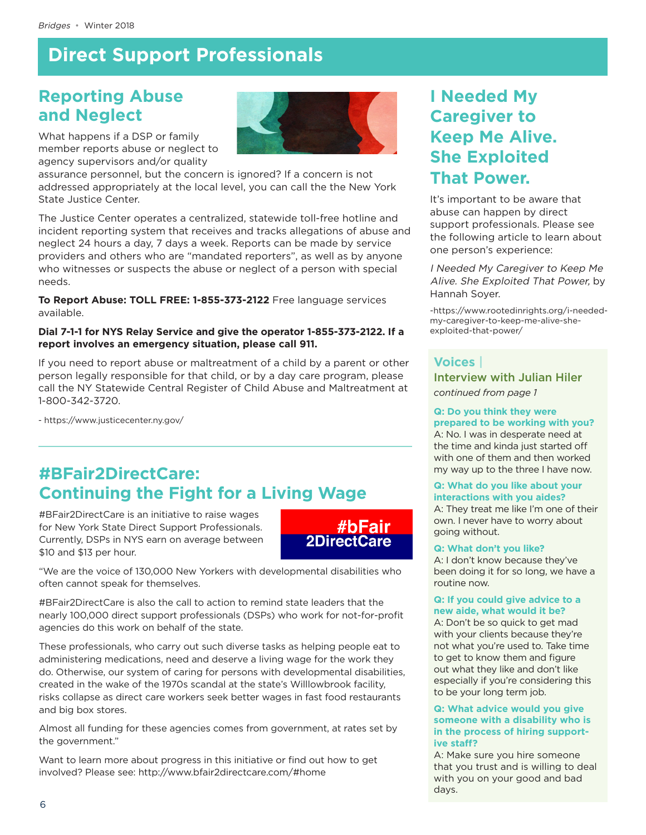### **Reporting Abuse and Neglect**



What happens if a DSP or family member reports abuse or neglect to agency supervisors and/or quality

assurance personnel, but the concern is ignored? If a concern is not addressed appropriately at the local level, you can call the the New York State Justice Center.

The Justice Center operates a centralized, statewide toll-free hotline and incident reporting system that receives and tracks allegations of abuse and neglect 24 hours a day, 7 days a week. Reports can be made by service providers and others who are "mandated reporters", as well as by anyone who witnesses or suspects the abuse or neglect of a person with special needs.

**To Report Abuse: TOLL FREE: 1-855-373-2122** Free language services available.

### **Dial 7-1-1 for NYS Relay Service and give the operator 1-855-373-2122. If a report involves an emergency situation, please call 911.**

If you need to report abuse or maltreatment of a child by a parent or other person legally responsible for that child, or by a day care program, please call the NY Statewide Central Register of Child Abuse and Maltreatment at 1-800-342-3720.

- <https://www.justicecenter.ny.gov/>

## **#BFair2DirectCare: Continuing the Fight for a Living Wage**

#BFair2DirectCare is an initiative to raise wages for New York State Direct Support Professionals. Currently, DSPs in NYS earn on average between \$10 and \$13 per hour.



"We are the voice of 130,000 New Yorkers with developmental disabilities who often cannot speak for themselves.

#BFair2DirectCare is also the call to action to remind state leaders that the nearly 100,000 direct support professionals (DSPs) who work for not-for-profit agencies do this work on behalf of the state.

These professionals, who carry out such diverse tasks as helping people eat to administering medications, need and deserve a living wage for the work they do. Otherwise, our system of caring for persons with developmental disabilities, created in the wake of the 1970s scandal at the state's Willlowbrook facility, risks collapse as direct care workers seek better wages in fast food restaurants and big box stores.

Almost all funding for these agencies comes from government, at rates set by the government."

Want to learn more about progress in this initiative or find out how to get involved? Please see:<http://www.bfair2directcare.com/#home>

## **I Needed My Caregiver to Keep Me Alive. She Exploited That Power.**

It's important to be aware that abuse can happen by direct support professionals. Please see the following article to learn about one person's experience:

I Needed My Caregiver to Keep Me Alive. She Exploited That Power, by Hannah Soyer.

-[https://www.rootedinrights.org/i-needed](https://www.rootedinrights.org/i-needed-my-caregiver-to-keep-me-alive-she-exploited-that-power/)[my-caregiver-to-keep-me-alive-she](https://www.rootedinrights.org/i-needed-my-caregiver-to-keep-me-alive-she-exploited-that-power/)[exploited-that-power/](https://www.rootedinrights.org/i-needed-my-caregiver-to-keep-me-alive-she-exploited-that-power/)

### **Voices |**

Interview with Julian Hiler

*continued from page 1*

#### **Q: Do you think they were prepared to be working with you?**

A: No. I was in desperate need at the time and kinda just started off with one of them and then worked my way up to the three I have now.

### **Q: What do you like about your interactions with you aides?**

A: They treat me like I'm one of their own. I never have to worry about going without.

### **Q: What don't you like?**

A: I don't know because they've been doing it for so long, we have a routine now.

### **Q: If you could give advice to a new aide, what would it be?**

A: Don't be so quick to get mad with your clients because they're not what you're used to. Take time to get to know them and figure out what they like and don't like especially if you're considering this to be your long term job.

### **Q: What advice would you give someone with a disability who is in the process of hiring supportive staff?**

A: Make sure you hire someone that you trust and is willing to deal with you on your good and bad days.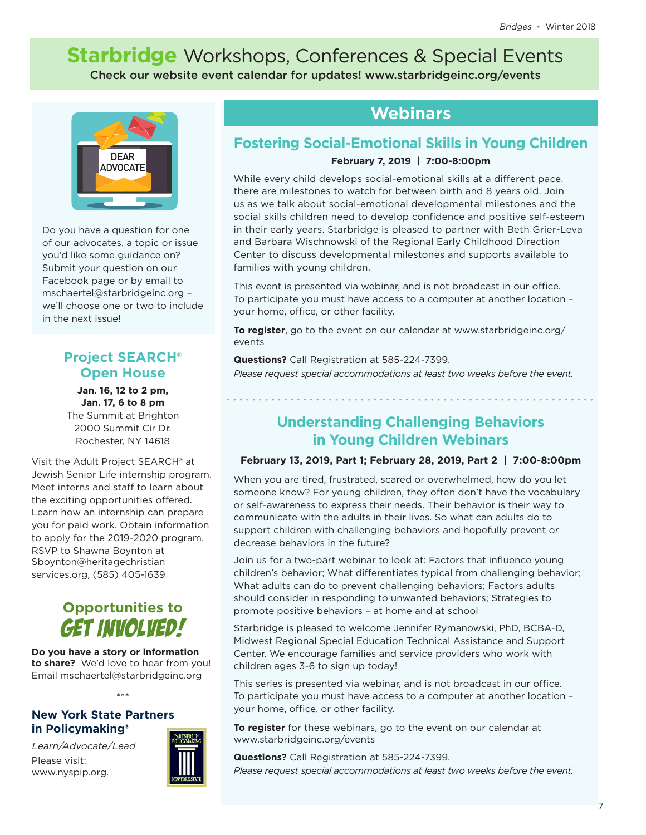# **Starbridge** Workshops, Conferences & Special Events

Check our website event calendar for updates! www.starbridgeinc.org/events



Do you have a question for one of our advocates, a topic or issue you'd like some guidance on? Submit your question on our Facebook page or by email to [mschaertel@starbridgeinc.org](mailto:mschaertel@starbridgeinc.org) – we'll choose one or two to include in the next issue!

### **Project SEARCH® Open House**

**Jan. 16, 12 to 2 pm, Jan. 17, 6 to 8 pm** The Summit at Brighton

2000 Summit Cir Dr. Rochester, NY 14618

Visit the Adult Project SEARCH® at Jewish Senior Life internship program. Meet interns and staff to learn about the exciting opportunities offered. Learn how an internship can prepare you for paid work. Obtain information to apply for the 2019-2020 program. RSVP to Shawna Boynton at [Sboynton@heritagechristian](mailto:Sboynton@heritagechristianservices.org) [services.org](mailto:Sboynton@heritagechristianservices.org), (585) 405-1639

## **Opportunities to GET INVOLVED!**

**Do you have a story or information to share?** We'd love to hear from you! Email [mschaertel@starbridgeinc.org](mailto:mschaertel@starbridgeinc.org)

\*\*\*

### **New York State Partners in Policymaking®**

Learn/Advocate/Lead Please visit: [www.nyspip.org](http://www.nyspip.org).



### **Webinars**

### **Fostering Social-Emotional Skills in Young Children February 7, 2019 | 7:00-8:00pm**

While every child develops social-emotional skills at a different pace, there are milestones to watch for between birth and 8 years old. Join us as we talk about social-emotional developmental milestones and the social skills children need to develop confidence and positive self-esteem in their early years. Starbridge is pleased to partner with Beth Grier-Leva and Barbara Wischnowski of the Regional Early Childhood Direction Center to discuss developmental milestones and supports available to families with young children.

This event is presented via webinar, and is not broadcast in our office. To participate you must have access to a computer at another location – your home, office, or other facility.

**To register**, go to the event on our calendar at [www.starbridgeinc.org/](http://www.starbridgeinc.org/news-events/events) [events](http://www.starbridgeinc.org/news-events/events)

**Questions?** Call Registration at 585-224-7399.

*Please request special accommodations at least two weeks before the event.*

**Understanding Challenging Behaviors in Young Children Webinars**

### **February 13, 2019, Part 1; February 28, 2019, Part 2 | 7:00-8:00pm**

When you are tired, frustrated, scared or overwhelmed, how do you let someone know? For young children, they often don't have the vocabulary or self-awareness to express their needs. Their behavior is their way to communicate with the adults in their lives. So what can adults do to support children with challenging behaviors and hopefully prevent or decrease behaviors in the future?

Join us for a two-part webinar to look at: Factors that influence young children's behavior; What differentiates typical from challenging behavior; What adults can do to prevent challenging behaviors; Factors adults should consider in responding to unwanted behaviors; Strategies to promote positive behaviors – at home and at school

Starbridge is pleased to welcome Jennifer Rymanowski, PhD, BCBA-D, Midwest Regional Special Education Technical Assistance and Support Center. We encourage families and service providers who work with children ages 3-6 to sign up today!

This series is presented via webinar, and is not broadcast in our office. To participate you must have access to a computer at another location – your home, office, or other facility.

**To register** for these webinars, go to the event on our calendar at [www.starbridgeinc.org/events](http://www.starbridgeinc.org/news-events/events)

**Questions?** Call Registration at 585-224-7399.

*Please request special accommodations at least two weeks before the event.*